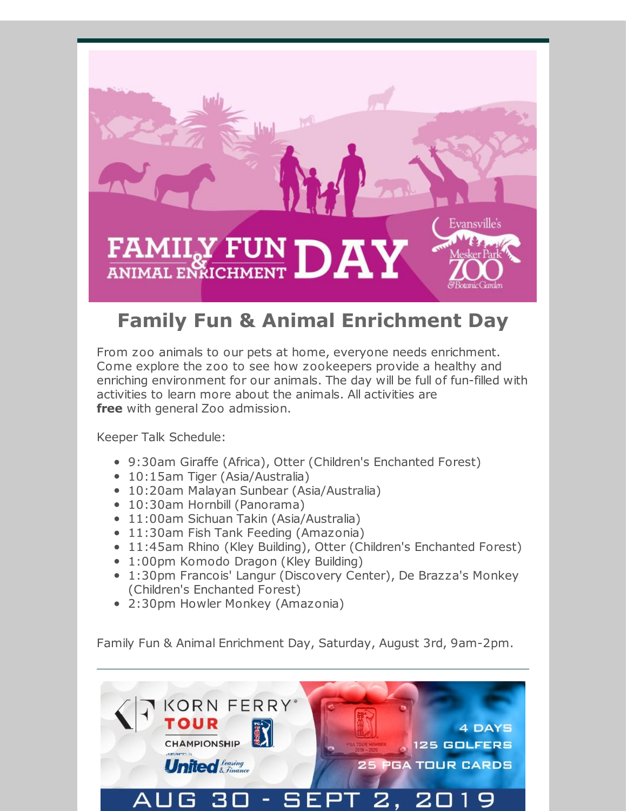

## **Family Fun & Animal Enrichment Day**

From zoo animals to our pets at home, everyone needs enrichment. Come explore the zoo to see how zookeepers provide a healthy and enriching environment for our animals. The day will be full of fun-filled with activities to learn more about the animals. All activities are **free** with general Zoo admission.

Keeper Talk Schedule:

- 9:30am Giraffe (Africa), Otter (Children's Enchanted Forest)
- 10:15am Tiger (Asia/Australia)
- 10:20am Malayan Sunbear (Asia/Australia)
- 10:30am Hornbill (Panorama)
- 11:00am Sichuan Takin (Asia/Australia)
- 11:30am Fish Tank Feeding (Amazonia)
- 11:45am Rhino (Kley Building), Otter (Children's Enchanted Forest)
- 1:00pm Komodo Dragon (Kley Building)
- 1:30pm Francois' Langur (Discovery Center), De Brazza's Monkey (Children's Enchanted Forest)
- 2:30pm Howler Monkey (Amazonia)

Family Fun & Animal Enrichment Day, Saturday, August 3rd, 9am-2pm.

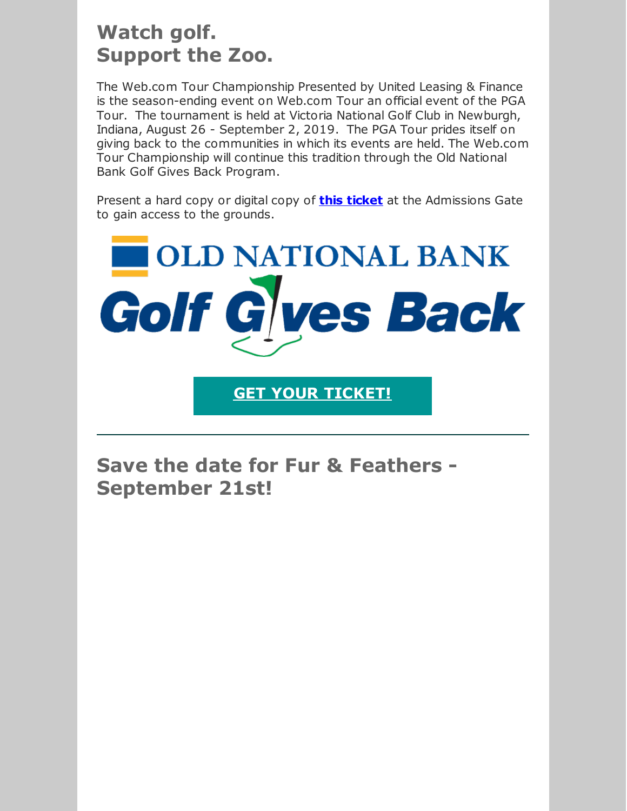## **Watch golf. Support the Zoo.**

The Web.com Tour Championship Presented by United Leasing & Finance is the season-ending event on Web.com Tour an official event of the PGA Tour. The tournament is held at Victoria National Golf Club in Newburgh, Indiana, August 26 - September 2, 2019. The PGA Tour prides itself on giving back to the communities in which its events are held. The Web.com Tour Championship will continue this tradition through the Old National Bank Golf Gives Back Program.

Present a hard copy or digital copy of **this [ticket](https://www.cuetoems.com/ulc_2019/PrintTickets.aspx?id=7cd12b8e-f5e4-4d69-8726-670642aed7bb)** at the Admissions Gate to gain access to the grounds.



**GET YOUR [TICKET!](https://www.cuetoems.com/ulc_2019/PrintTickets.aspx?id=7cd12b8e-f5e4-4d69-8726-670642aed7bb)**

**Save the date for Fur & Feathers - September 21st!**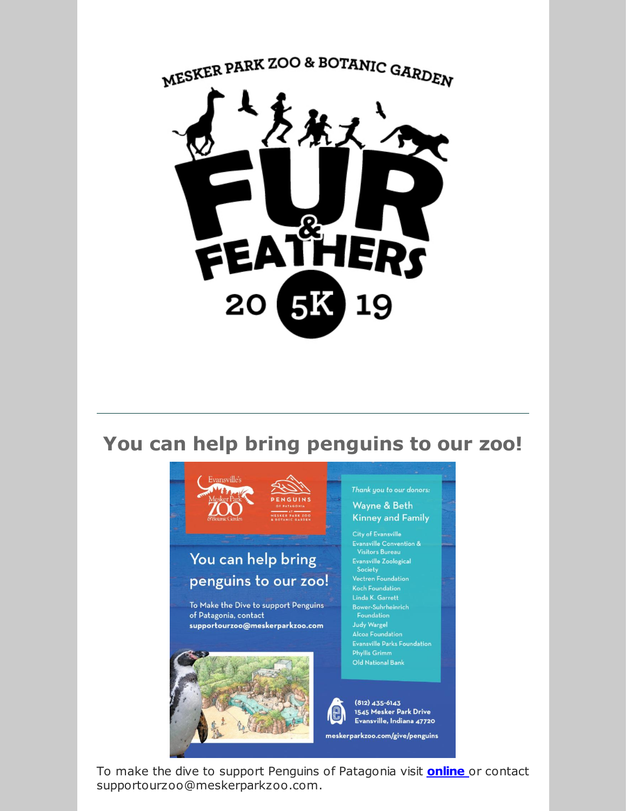

## **You can help bring penguins to our zoo!**



To make the dive to support Penguins of Patagonia visit **[online](https://secure.donorpro.com/mpz-donation)** or contact supportourzoo@meskerparkzoo.com.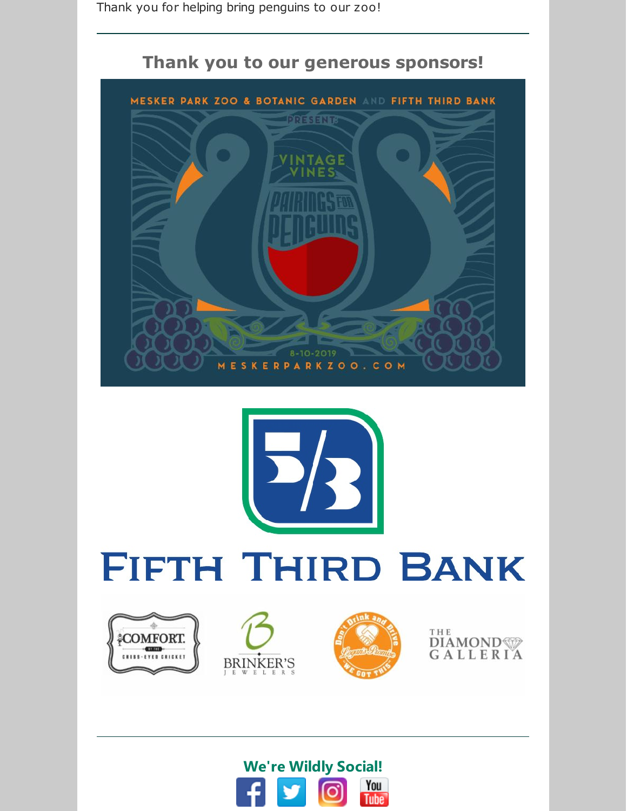